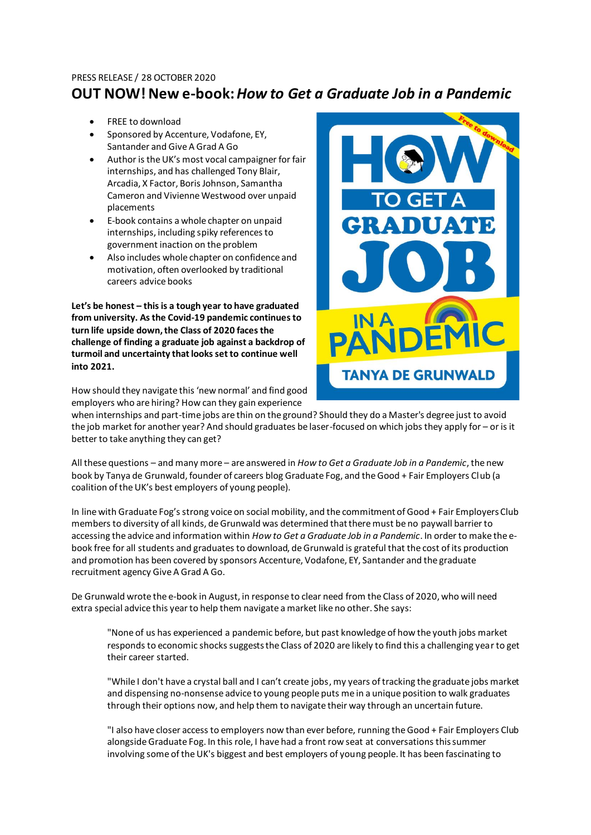### PRESS RELEASE / 28 OCTOBER 2020

# **OUT NOW! New e-book:** *How to Get a Graduate Job in a Pandemic*

- FREE to download
- Sponsored by Accenture, Vodafone, EY, Santander and Give A Grad A Go
- Author is the UK's most vocal campaigner for fair internships, and has challenged Tony Blair, Arcadia, X Factor, Boris Johnson, Samantha Cameron and Vivienne Westwood over unpaid placements
- E-book contains a whole chapter on unpaid internships, including spiky references to government inaction on the problem
- Also includes whole chapter on confidence and motivation, often overlooked by traditional careers advice books

**Let's be honest – this is a tough year to have graduated from university. As the Covid-19 pandemic continues to turn life upside down, the Class of 2020 faces the challenge of finding a graduate job against a backdrop of turmoil and uncertainty that looks set to continue well into 2021.**



How should they navigate this 'new normal' and find good employers who are hiring? How can they gain experience

when internships and part-time jobs are thin on the ground? Should they do a Master's degree just to avoid the job market for another year? And should graduates be laser-focused on which jobs they apply for – or is it better to take anything they can get?

All these questions – and many more – are answered in *How to Get a Graduate Job in a Pandemic*, the new book by Tanya de Grunwald, founder of careers blog Graduate Fog, and the Good + Fair Employers Club (a coalition of the UK's best employers of young people).

In line with Graduate Fog's strong voice on social mobility, and the commitment of Good + Fair Employers Club members to diversity of all kinds, de Grunwald was determined that there must be no paywall barrier to accessing the advice and information within *How to Get a Graduate Job in a Pandemic*. In order to make the ebook free for all students and graduates to download, de Grunwald is grateful that the cost of its production and promotion has been covered by sponsors Accenture, Vodafone, EY, Santander and the graduate recruitment agency Give A Grad A Go.

De Grunwald wrote the e-book in August, in response to clear need from the Class of 2020, who will need extra special advice this year to help them navigate a market like no other. She says:

"None of us has experienced a pandemic before, but past knowledge of how the youth jobs market responds to economic shocks suggests the Class of 2020 are likely to find this a challenging year to get their career started.

"While I don't have a crystal ball and I can't create jobs, my years of tracking the graduate jobs market and dispensing no-nonsense advice to young people puts me in a unique position to walk graduates through their options now, and help them to navigate their way through an uncertain future.

"I also have closer access to employers now than ever before, running the Good + Fair Employers Club alongside Graduate Fog. In this role, I have had a front row seat at conversations this summer involving some of the UK's biggest and best employers of young people. It has been fascinating to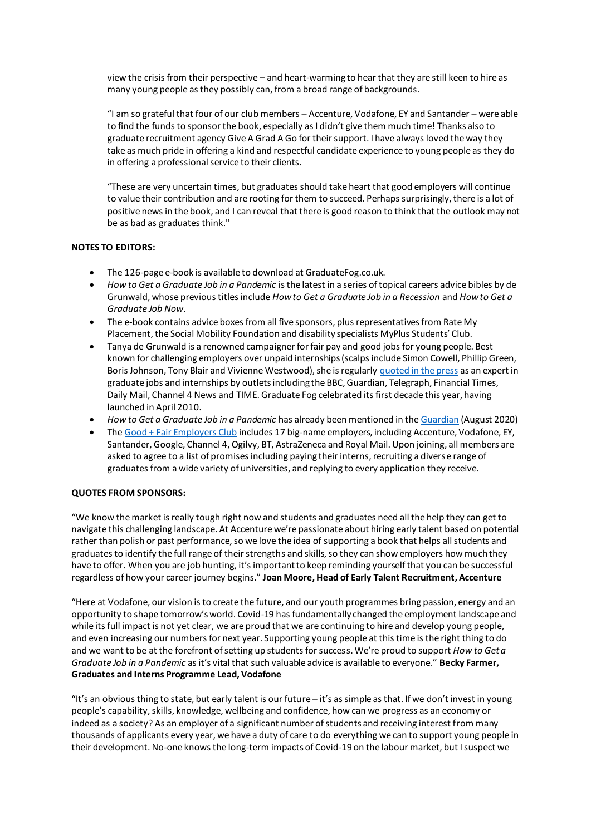view the crisis from their perspective – and heart-warming to hear that they are still keen to hire as many young people as they possibly can, from a broad range of backgrounds.

"I am so grateful that four of our club members – Accenture, Vodafone, EY and Santander – were able to find the funds to sponsor the book, especially as I didn't give them much time! Thanks also to graduate recruitment agency Give A Grad A Go for their support. I have always loved the way they take as much pride in offering a kind and respectful candidate experience to young people as they do in offering a professional service to their clients.

"These are very uncertain times, but graduates should take heart that good employers will continue to value their contribution and are rooting for them to succeed. Perhaps surprisingly, there is a lot of positive news in the book, and I can reveal that there is good reason to think that the outlook may not be as bad as graduates think."

## **NOTES TO EDITORS:**

- The 126-page e-book is available to download at GraduateFog.co.uk.
- *How to Get a Graduate Job in a Pandemic* is the latest in a series of topical careers advice bibles by de Grunwald, whose previous titles include *How to Get a Graduate Job in a Recession* and *How to Get a Graduate Job Now*.
- The e-book contains advice boxes from all five sponsors, plus representatives from Rate My Placement, the Social Mobility Foundation and disability specialists MyPlus Students' Club.
- Tanya de Grunwald is a renowned campaigner for fair pay and good jobs for young people. Best known for challenging employers over unpaid internships (scalps include Simon Cowell, Phillip Green, Boris Johnson, Tony Blair and Vivienne Westwood), she is regularl[y quoted in the press](http://bit.ly/tKAmN7) as an expert in graduate jobs and internships by outlets including the BBC, Guardian, Telegraph, Financial Times, Daily Mail, Channel 4 News and TIME. Graduate Fog celebrated its first decade this year, having launched in April 2010.
- *How to Get a Graduate Job in a Pandemic* has already been mentioned in th[e Guardian](https://bit.ly/3lzsjEm) (August 2020)
- Th[e Good + Fair Employers Club](http://bit.ly/2JvP2Rb) includes 17 big-name employers, including Accenture, Vodafone, EY, Santander, Google, Channel 4, Ogilvy, BT, AstraZeneca and Royal Mail. Upon joining, all members are asked to agree to a list of promises including paying their interns, recruiting a diverse range of graduates from a wide variety of universities, and replying to every application they receive.

#### **QUOTES FROM SPONSORS:**

"We know the market is really tough right now and students and graduates need all the help they can get to navigate this challenging landscape. At Accenture we're passionate about hiring early talent based on potential rather than polish or past performance, so we love the idea of supporting a book that helps all students and graduates to identify the full range of their strengths and skills, so they can show employers how much they have to offer. When you are job hunting, it's important to keep reminding yourself that you can be successful regardless of how your career journey begins." **Joan Moore, Head of Early Talent Recruitment, Accenture**

"Here at Vodafone, our vision is to create the future, and our youth programmes bring passion, energy and an opportunity to shape tomorrow's world. Covid-19 has fundamentally changed the employment landscape and while its full impact is not yet clear, we are proud that we are continuing to hire and develop young people, and even increasing our numbers for next year. Supporting young people at this time is the right thing to do and we want to be at the forefront of setting up students for success. We're proud to support *How to Get a Graduate Job in a Pandemic* as it's vital that such valuable advice is available to everyone." **Becky Farmer, Graduates and Interns Programme Lead, Vodafone**

"It's an obvious thing to state, but early talent is our future – it's as simple as that. If we don't invest in young people's capability, skills, knowledge, wellbeing and confidence, how can we progress as an economy or indeed as a society? As an employer of a significant number of students and receiving interest from many thousands of applicants every year, we have a duty of care to do everything we can to support young people in their development. No-one knows the long-term impacts of Covid-19 on the labour market, but I suspect we